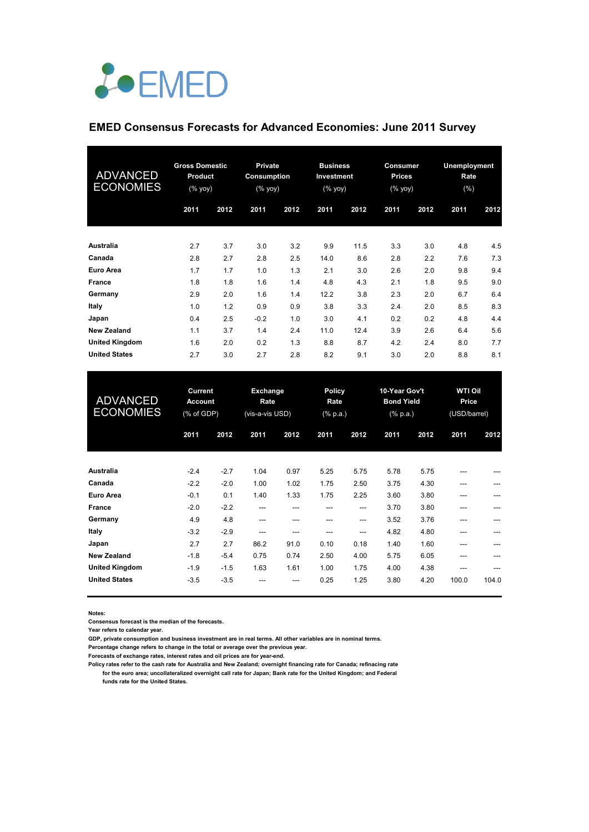

## **EMED Consensus Forecasts for Advanced Economies: June 2011 Survey**

| <b>ADVANCED</b><br><b>ECONOMIES</b> | <b>Gross Domestic</b><br><b>Product</b><br>(% yoy) |      | <b>Private</b><br><b>Consumption</b><br>$(% \mathsf{Y}\rightarrow \mathsf{Y})$ |      | <b>Business</b><br>Investment<br>(% yoy) |      | <b>Consumer</b><br><b>Prices</b><br>(% yoy) |      | Unemployment<br>Rate<br>(%) |      |
|-------------------------------------|----------------------------------------------------|------|--------------------------------------------------------------------------------|------|------------------------------------------|------|---------------------------------------------|------|-----------------------------|------|
|                                     | 2011                                               | 2012 | 2011                                                                           | 2012 | 2011                                     | 2012 | 2011                                        | 2012 | 2011                        | 2012 |
| Australia                           | 2.7                                                | 3.7  | 3.0                                                                            | 3.2  | 9.9                                      | 11.5 | 3.3                                         | 3.0  | 4.8                         | 4.5  |
| Canada                              | 2.8                                                | 2.7  | 2.8                                                                            | 2.5  | 14.0                                     | 8.6  | 2.8                                         | 2.2  | 7.6                         | 7.3  |
| Euro Area                           | 1.7                                                | 1.7  | 1.0                                                                            | 1.3  | 2.1                                      | 3.0  | 2.6                                         | 2.0  | 9.8                         | 9.4  |
| <b>France</b>                       | 1.8                                                | 1.8  | 1.6                                                                            | 1.4  | 4.8                                      | 4.3  | 2.1                                         | 1.8  | 9.5                         | 9.0  |
| Germany                             | 2.9                                                | 2.0  | 1.6                                                                            | 1.4  | 12.2                                     | 3.8  | 2.3                                         | 2.0  | 6.7                         | 6.4  |
| Italy                               | 1.0                                                | 1.2  | 0.9                                                                            | 0.9  | 3.8                                      | 3.3  | 2.4                                         | 2.0  | 8.5                         | 8.3  |
| Japan                               | 0.4                                                | 2.5  | $-0.2$                                                                         | 1.0  | 3.0                                      | 4.1  | 0.2                                         | 0.2  | 4.8                         | 4.4  |
| <b>New Zealand</b>                  | 1.1                                                | 3.7  | 1.4                                                                            | 2.4  | 11.0                                     | 12.4 | 3.9                                         | 2.6  | 6.4                         | 5.6  |
| <b>United Kingdom</b>               | 1.6                                                | 2.0  | 0.2                                                                            | 1.3  | 8.8                                      | 8.7  | 4.2                                         | 2.4  | 8.0                         | 7.7  |
| <b>United States</b>                | 2.7                                                | 3.0  | 2.7                                                                            | 2.8  | 8.2                                      | 9.1  | 3.0                                         | 2.0  | 8.8                         | 8.1  |

| <b>ADVANCED</b><br><b>ECONOMIES</b> | <b>Current</b><br><b>Account</b><br>(% of GDP) |        | <b>Exchange</b><br>Rate<br>(vis-a-vis USD) |      | <b>Policy</b><br>Rate<br>$(% \mathbf{a})$ (% p.a.) |       | 10-Year Gov't<br><b>Bond Yield</b><br>$(% \mathbb{R}^2)$ (% p.a.) |      | <b>WTI Oil</b><br>Price<br>(USD/barrel) |       |
|-------------------------------------|------------------------------------------------|--------|--------------------------------------------|------|----------------------------------------------------|-------|-------------------------------------------------------------------|------|-----------------------------------------|-------|
|                                     | 2011                                           | 2012   | 2011                                       | 2012 | 2011                                               | 2012  | 2011                                                              | 2012 | 2011                                    | 2012  |
| <b>Australia</b>                    | $-2.4$                                         | $-2.7$ | 1.04                                       | 0.97 | 5.25                                               | 5.75  | 5.78                                                              | 5.75 | ---                                     |       |
| Canada                              | $-2.2$                                         | $-2.0$ | 1.00                                       | 1.02 | 1.75                                               | 2.50  | 3.75                                                              | 4.30 | ---                                     | ---   |
| <b>Euro Area</b>                    | $-0.1$                                         | 0.1    | 1.40                                       | 1.33 | 1.75                                               | 2.25  | 3.60                                                              | 3.80 | ---                                     |       |
| France                              | $-2.0$                                         | $-2.2$ | $---$                                      | ---  | ---                                                | $---$ | 3.70                                                              | 3.80 | ---                                     |       |
| Germany                             | 4.9                                            | 4.8    | $---$                                      | ---  | ---                                                | $---$ | 3.52                                                              | 3.76 |                                         |       |
| Italy                               | $-3.2$                                         | $-2.9$ | ---                                        | ---  | ---                                                | $---$ | 4.82                                                              | 4.80 | ---                                     |       |
| Japan                               | 2.7                                            | 2.7    | 86.2                                       | 91.0 | 0.10                                               | 0.18  | 1.40                                                              | 1.60 | ---                                     |       |
| <b>New Zealand</b>                  | $-1.8$                                         | $-5.4$ | 0.75                                       | 0.74 | 2.50                                               | 4.00  | 5.75                                                              | 6.05 | ---                                     |       |
| <b>United Kingdom</b>               | $-1.9$                                         | $-1.5$ | 1.63                                       | 1.61 | 1.00                                               | 1.75  | 4.00                                                              | 4.38 | ---                                     |       |
| <b>United States</b>                | $-3.5$                                         | $-3.5$ | ---                                        | ---  | 0.25                                               | 1.25  | 3.80                                                              | 4.20 | 100.0                                   | 104.0 |

**Notes:** 

**Consensus forecast is the median of the forecasts.**

**Year refers to calendar year.**

**GDP, private consumption and business investment are in real terms. All other variables are in nominal terms.**

**Percentage change refers to change in the total or average over the previous year.**

**Forecasts of exchange rates, interest rates and oil prices are for year-end.**

**Policy rates refer to the cash rate for Australia and New Zealand; overnight financing rate for Canada; refinacing rate for the euro area; uncollateralized overnight call rate for Japan; Bank rate for the United Kingdom; and Federal funds rate for the United States.**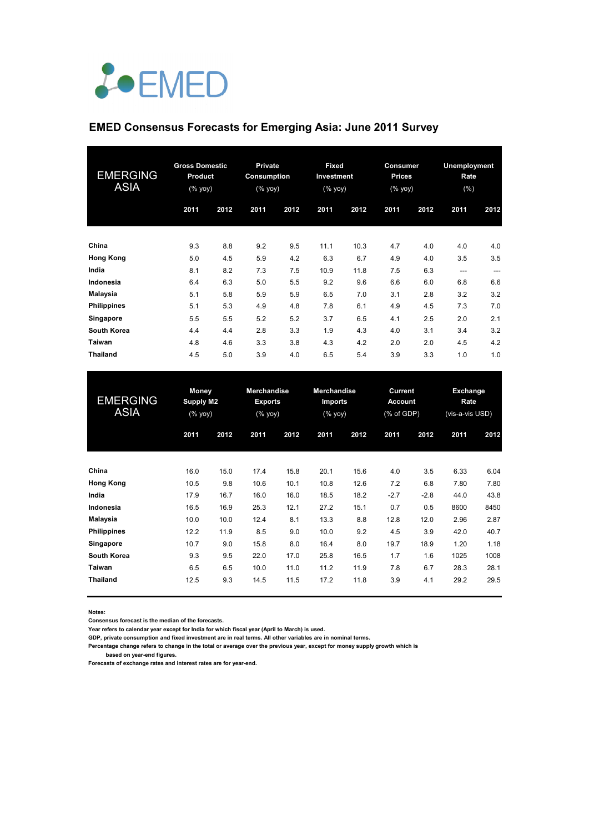

## **EMED Consensus Forecasts for Emerging Asia: June 2011 Survey**

| <b>EMERGING</b><br><b>ASIA</b> | <b>Gross Domestic</b><br>Product<br>$(%$ (% yoy) |      | <b>Private</b><br><b>Consumption</b><br>(% yoy) |      | <b>Fixed</b><br>Investment<br>$(% \mathsf{Y}^{\prime }\mathsf{Y}^{\prime }\mathsf{Y}^{\prime })$ |      | <b>Consumer</b><br><b>Prices</b><br>(% yoy) |      | <b>Unemployment</b><br>Rate<br>(%) |       |
|--------------------------------|--------------------------------------------------|------|-------------------------------------------------|------|--------------------------------------------------------------------------------------------------|------|---------------------------------------------|------|------------------------------------|-------|
|                                | 2011                                             | 2012 | 2011                                            | 2012 | 2011                                                                                             | 2012 | 2011                                        | 2012 | 2011                               | 2012  |
| China                          | 9.3                                              | 8.8  | 9.2                                             | 9.5  | 11.1                                                                                             | 10.3 | 4.7                                         | 4.0  | 4.0                                | 4.0   |
| <b>Hong Kong</b>               | 5.0                                              | 4.5  | 5.9                                             | 4.2  | 6.3                                                                                              | 6.7  | 4.9                                         | 4.0  | 3.5                                | 3.5   |
| India                          | 8.1                                              | 8.2  | 7.3                                             | 7.5  | 10.9                                                                                             | 11.8 | 7.5                                         | 6.3  | $---$                              | $---$ |
| Indonesia                      | 6.4                                              | 6.3  | 5.0                                             | 5.5  | 9.2                                                                                              | 9.6  | 6.6                                         | 6.0  | 6.8                                | 6.6   |
| Malaysia                       | 5.1                                              | 5.8  | 5.9                                             | 5.9  | 6.5                                                                                              | 7.0  | 3.1                                         | 2.8  | 3.2                                | 3.2   |
| <b>Philippines</b>             | 5.1                                              | 5.3  | 4.9                                             | 4.8  | 7.8                                                                                              | 6.1  | 4.9                                         | 4.5  | 7.3                                | 7.0   |
| Singapore                      | 5.5                                              | 5.5  | 5.2                                             | 5.2  | 3.7                                                                                              | 6.5  | 4.1                                         | 2.5  | 2.0                                | 2.1   |
| <b>South Korea</b>             | 4.4                                              | 4.4  | 2.8                                             | 3.3  | 1.9                                                                                              | 4.3  | 4.0                                         | 3.1  | 3.4                                | 3.2   |
| Taiwan                         | 4.8                                              | 4.6  | 3.3                                             | 3.8  | 4.3                                                                                              | 4.2  | 2.0                                         | 2.0  | 4.5                                | 4.2   |
| <b>Thailand</b>                | 4.5                                              | 5.0  | 3.9                                             | 4.0  | 6.5                                                                                              | 5.4  | 3.9                                         | 3.3  | 1.0                                | 1.0   |

| <b>EMERGING</b><br><b>ASIA</b> | <b>Money</b><br>Supply M2<br>(% yoy) |      | <b>Merchandise</b><br><b>Exports</b><br>$(%$ (% yoy) |      | <b>Merchandise</b><br><b>Imports</b><br>(% |      | Current<br><b>Account</b><br>(% of GDP) |        | Exchange<br>Rate<br>(vis-a-vis USD) |      |
|--------------------------------|--------------------------------------|------|------------------------------------------------------|------|--------------------------------------------|------|-----------------------------------------|--------|-------------------------------------|------|
|                                | 2011                                 | 2012 | 2011                                                 | 2012 | 2011                                       | 2012 | 2011                                    | 2012   | 2011                                | 2012 |
| China                          | 16.0                                 | 15.0 | 17.4                                                 | 15.8 | 20.1                                       | 15.6 | 4.0                                     | 3.5    | 6.33                                | 6.04 |
| <b>Hong Kong</b>               | 10.5                                 | 9.8  | 10.6                                                 | 10.1 | 10.8                                       | 12.6 | 7.2                                     | 6.8    | 7.80                                | 7.80 |
| India                          | 17.9                                 | 16.7 | 16.0                                                 | 16.0 | 18.5                                       | 18.2 | $-2.7$                                  | $-2.8$ | 44.0                                | 43.8 |
| Indonesia                      | 16.5                                 | 16.9 | 25.3                                                 | 12.1 | 27.2                                       | 15.1 | 0.7                                     | 0.5    | 8600                                | 8450 |
| Malaysia                       | 10.0                                 | 10.0 | 12.4                                                 | 8.1  | 13.3                                       | 8.8  | 12.8                                    | 12.0   | 2.96                                | 2.87 |
| <b>Philippines</b>             | 12.2                                 | 11.9 | 8.5                                                  | 9.0  | 10.0                                       | 9.2  | 4.5                                     | 3.9    | 42.0                                | 40.7 |
| Singapore                      | 10.7                                 | 9.0  | 15.8                                                 | 8.0  | 16.4                                       | 8.0  | 19.7                                    | 18.9   | 1.20                                | 1.18 |
| South Korea                    | 9.3                                  | 9.5  | 22.0                                                 | 17.0 | 25.8                                       | 16.5 | 1.7                                     | 1.6    | 1025                                | 1008 |
| Taiwan                         | 6.5                                  | 6.5  | 10.0                                                 | 11.0 | 11.2                                       | 11.9 | 7.8                                     | 6.7    | 28.3                                | 28.1 |
| <b>Thailand</b>                | 12.5                                 | 9.3  | 14.5                                                 | 11.5 | 17.2                                       | 11.8 | 3.9                                     | 4.1    | 29.2                                | 29.5 |

**Notes:** 

**Consensus forecast is the median of the forecasts.**

**Year refers to calendar year except for India for which fiscal year (April to March) is used.**

**GDP, private consumption and fixed investment are in real terms. All other variables are in nominal terms.**

**Percentage change refers to change in the total or average over the previous year, except for money supply growth which is based on year-end figures.**

**Forecasts of exchange rates and interest rates are for year-end.**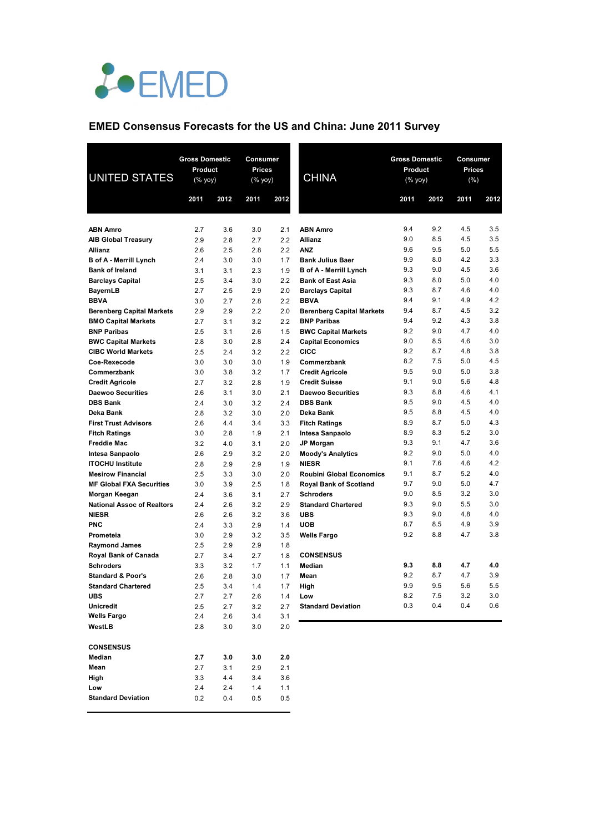

## **EMED Consensus Forecasts for the US and China: June 2011 Survey**

| <b>UNITED STATES</b>                            | <b>Gross Domestic</b><br>Product<br>$(%$ (% yoy) |            | Consumer<br>Prices<br>(% yoy) |            | <b>CHINA</b>                     | <b>Gross Domestic</b><br>Product<br>(% yoy) |            | <b>Consumer</b><br><b>Prices</b><br>(% ) |                |
|-------------------------------------------------|--------------------------------------------------|------------|-------------------------------|------------|----------------------------------|---------------------------------------------|------------|------------------------------------------|----------------|
|                                                 | 2011                                             | 2012       | 2011                          | 2012       |                                  | 2011                                        | 2012       | 2011                                     | 2012           |
|                                                 |                                                  |            |                               |            |                                  |                                             |            |                                          |                |
| <b>ABN Amro</b>                                 | 2.7                                              | 3.6        | 3.0                           | 2.1        | <b>ABN Amro</b>                  | 9.4<br>9.0                                  | 9.2<br>8.5 | 4.5<br>4.5                               | 3.5<br>3.5     |
| <b>AIB Global Treasury</b>                      | 2.9<br>2.6                                       | 2.8<br>2.5 | 2.7<br>2.8                    | 2.2<br>2.2 | <b>Allianz</b><br><b>ANZ</b>     | 9.6                                         | 9.5        | 5.0                                      | 5.5            |
| <b>Allianz</b><br><b>B</b> of A - Merrill Lynch | 2.4                                              | 3.0        | 3.0                           | 1.7        | <b>Bank Julius Baer</b>          | 9.9                                         | 8.0        | 4.2                                      | 3.3            |
| <b>Bank of Ireland</b>                          | 3.1                                              | 3.1        | 2.3                           | 1.9        | <b>B</b> of A - Merrill Lynch    | 9.3                                         | 9.0        | 4.5                                      | 3.6            |
| <b>Barclays Capital</b>                         | 2.5                                              | 3.4        | 3.0                           | 2.2        | <b>Bank of East Asia</b>         | 9.3                                         | 8.0        | 5.0                                      | 4.0            |
| <b>BayernLB</b>                                 | 2.7                                              | 2.5        | 2.9                           | 2.0        | <b>Barclays Capital</b>          | 9.3                                         | 8.7        | 4.6                                      | 4.0            |
| <b>BBVA</b>                                     | 3.0                                              | 2.7        | 2.8                           | 2.2        | <b>BBVA</b>                      | 9.4                                         | 9.1        | 4.9                                      | 4.2            |
| <b>Berenberg Capital Markets</b>                | 2.9                                              | 2.9        | 2.2                           | 2.0        | <b>Berenberg Capital Markets</b> | 9.4                                         | 8.7        | 4.5                                      | 3.2            |
| <b>BMO Capital Markets</b>                      | 2.7                                              | 3.1        | 3.2                           | 2.2        | <b>BNP Paribas</b>               | 9.4                                         | 9.2        | 4.3                                      | 3.8            |
| <b>BNP Paribas</b>                              | 2.5                                              | 3.1        | 2.6                           | 1.5        | <b>BWC Capital Markets</b>       | 9.2                                         | 9.0        | 4.7                                      | 4.0            |
| <b>BWC Capital Markets</b>                      | 2.8                                              | 3.0        | 2.8                           | 2.4        | <b>Capital Economics</b>         | 9.0                                         | 8.5        | 4.6                                      | 3.0            |
| <b>CIBC World Markets</b>                       | 2.5                                              | 2.4        | 3.2                           | 2.2        | <b>CICC</b>                      | 9.2                                         | 8.7        | 4.8                                      | 3.8            |
| Coe-Rexecode                                    | 3.0                                              | 3.0        | 3.0                           | 1.9        | Commerzbank                      | 8.2                                         | 7.5        | 5.0                                      | 4.5            |
| Commerzbank                                     | 3.0                                              | 3.8        | 3.2                           | 1.7        | <b>Credit Agricole</b>           | 9.5                                         | 9.0        | 5.0                                      | 3.8            |
| <b>Credit Agricole</b>                          | 2.7                                              | 3.2        | 2.8                           | 1.9        | <b>Credit Suisse</b>             | 9.1                                         | 9.0        | 5.6                                      | 4.8            |
| <b>Daewoo Securities</b>                        | 2.6                                              | 3.1        | 3.0                           | 2.1        | <b>Daewoo Securities</b>         | 9.3                                         | 8.8        | 4.6                                      | 4.1            |
| <b>DBS Bank</b>                                 | 2.4                                              | 3.0        | 3.2                           | 2.4        | <b>DBS Bank</b>                  | 9.5                                         | 9.0        | 4.5                                      | 4.0            |
| Deka Bank                                       | 2.8                                              | 3.2        | 3.0                           | 2.0        | Deka Bank                        | 9.5                                         | 8.8        | 4.5                                      | 4.0            |
| <b>First Trust Advisors</b>                     | 2.6                                              | 4.4        | 3.4                           | 3.3        | <b>Fitch Ratings</b>             | 8.9                                         | 8.7        | 5.0                                      | 4.3            |
| <b>Fitch Ratings</b>                            | 3.0                                              | 2.8        | 1.9                           | 2.1        | Intesa Sanpaolo                  | 8.9                                         | 8.3        | 5.2                                      | 3.0            |
| <b>Freddie Mac</b>                              | 3.2                                              | 4.0        | 3.1                           | 2.0        | <b>JP Morgan</b>                 | 9.3                                         | 9.1        | 4.7                                      | 3.6            |
| Intesa Sanpaolo                                 | 2.6                                              | 2.9        | 3.2                           | 2.0        | <b>Moody's Analytics</b>         | 9.2                                         | 9.0        | 5.0                                      | 4.0            |
| <b>ITOCHU Institute</b>                         | 2.8                                              | 2.9        | 2.9                           | 1.9        | <b>NIESR</b>                     | 9.1                                         | 7.6        | 4.6                                      | 4.2            |
| <b>Mesirow Financial</b>                        | 2.5                                              | 3.3        | 3.0                           | 2.0        | <b>Roubini Global Economics</b>  | 9.1                                         | 8.7        | 5.2                                      | 4.0            |
| <b>MF Global FXA Securities</b>                 | 3.0                                              | 3.9        | 2.5                           | 1.8        | <b>Royal Bank of Scotland</b>    | 9.7                                         | 9.0        | 5.0                                      | 4.7            |
| Morgan Keegan                                   | 2.4                                              | 3.6        | 3.1                           | 2.7        | <b>Schroders</b>                 | 9.0                                         | 8.5        | 3.2                                      | 3.0            |
| <b>National Assoc of Realtors</b>               | 2.4                                              | 2.6        | 3.2                           | 2.9        | <b>Standard Chartered</b>        | 9.3                                         | 9.0        | 5.5                                      | 3.0            |
| <b>NIESR</b>                                    | 2.6                                              | 2.6        | 3.2                           | 3.6        | <b>UBS</b>                       | 9.3                                         | 9.0        | 4.8                                      | 4.0            |
| <b>PNC</b>                                      | 2.4                                              | 3.3        | 2.9                           | 1.4        | <b>UOB</b>                       | 8.7                                         | 8.5        | 4.9                                      | 3.9            |
| Prometeia                                       | 3.0                                              | 2.9        | 3.2                           | 3.5        | Wells Fargo                      | 9.2                                         | 8.8        | 4.7                                      | 3.8            |
| <b>Raymond James</b>                            | 2.5                                              | 2.9        | 2.9                           | 1.8        |                                  |                                             |            |                                          |                |
| Royal Bank of Canada                            | 2.7                                              | 3.4        | 2.7                           | 1.8        | <b>CONSENSUS</b>                 |                                             |            |                                          |                |
| <b>Schroders</b>                                | 3.3                                              | 3.2        | 1.7                           | 1.1        | Median                           | 9.3<br>9.2                                  | 8.8<br>8.7 | 4.7<br>4.7                               | 4.0            |
| <b>Standard &amp; Poor's</b>                    | 2.6                                              | 2.8        | 3.0                           | 1.7        | Mean                             | 9.9                                         | 9.5        | 5.6                                      | 3.9<br>$5.5\,$ |
| <b>Standard Chartered</b>                       | 2.5                                              | 3.4        | 1.4                           | 1.7        | High                             |                                             |            |                                          | 3.0            |
| <b>UBS</b><br><b>Unicredit</b>                  | 2.7<br>2.5                                       | 2.7<br>2.7 | 2.6<br>3.2                    | 1.4<br>2.7 | Low<br><b>Standard Deviation</b> | 8.2<br>0.3                                  | 7.5<br>0.4 | 3.2<br>0.4                               | 0.6            |
| <b>Wells Fargo</b>                              | 2.4                                              | 2.6        | 3.4                           | 3.1        |                                  |                                             |            |                                          |                |
| WestLB                                          | 2.8                                              | 3.0        | 3.0                           | 2.0        |                                  |                                             |            |                                          |                |
|                                                 |                                                  |            |                               |            |                                  |                                             |            |                                          |                |
| <b>CONSENSUS</b>                                |                                                  |            |                               |            |                                  |                                             |            |                                          |                |
| Median                                          | 2.7                                              | 3.0        | 3.0                           | 2.0        |                                  |                                             |            |                                          |                |
| Mean                                            | 2.7                                              | 3.1        | 2.9                           | 2.1        |                                  |                                             |            |                                          |                |
| High                                            | 3.3                                              | 4.4        | 3.4                           | 3.6        |                                  |                                             |            |                                          |                |
| Low                                             | 2.4                                              | 2.4        | 1.4                           | 1.1        |                                  |                                             |            |                                          |                |
| <b>Standard Deviation</b>                       | 0.2                                              | 0.4        | 0.5                           | 0.5        |                                  |                                             |            |                                          |                |